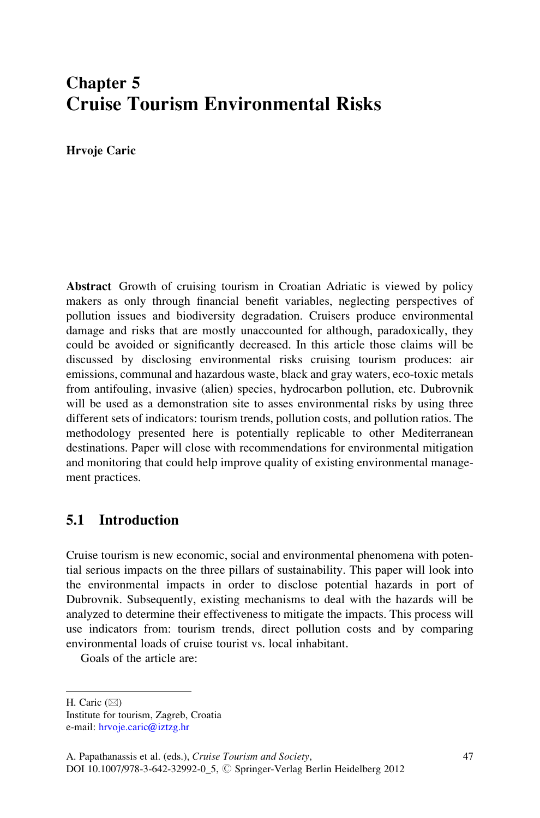# Chapter 5 Cruise Tourism Environmental Risks

Hrvoje Caric

Abstract Growth of cruising tourism in Croatian Adriatic is viewed by policy makers as only through financial benefit variables, neglecting perspectives of pollution issues and biodiversity degradation. Cruisers produce environmental damage and risks that are mostly unaccounted for although, paradoxically, they could be avoided or significantly decreased. In this article those claims will be discussed by disclosing environmental risks cruising tourism produces: air emissions, communal and hazardous waste, black and gray waters, eco-toxic metals from antifouling, invasive (alien) species, hydrocarbon pollution, etc. Dubrovnik will be used as a demonstration site to asses environmental risks by using three different sets of indicators: tourism trends, pollution costs, and pollution ratios. The methodology presented here is potentially replicable to other Mediterranean destinations. Paper will close with recommendations for environmental mitigation and monitoring that could help improve quality of existing environmental management practices.

# 5.1 Introduction

Cruise tourism is new economic, social and environmental phenomena with potential serious impacts on the three pillars of sustainability. This paper will look into the environmental impacts in order to disclose potential hazards in port of Dubrovnik. Subsequently, existing mechanisms to deal with the hazards will be analyzed to determine their effectiveness to mitigate the impacts. This process will use indicators from: tourism trends, direct pollution costs and by comparing environmental loads of cruise tourist vs. local inhabitant.

Goals of the article are:

H. Caric  $(\boxtimes)$ 

Institute for tourism, Zagreb, Croatia e-mail: [hrvoje.caric@iztzg.hr](mailto:hrvoje.caric@iztzg.hr)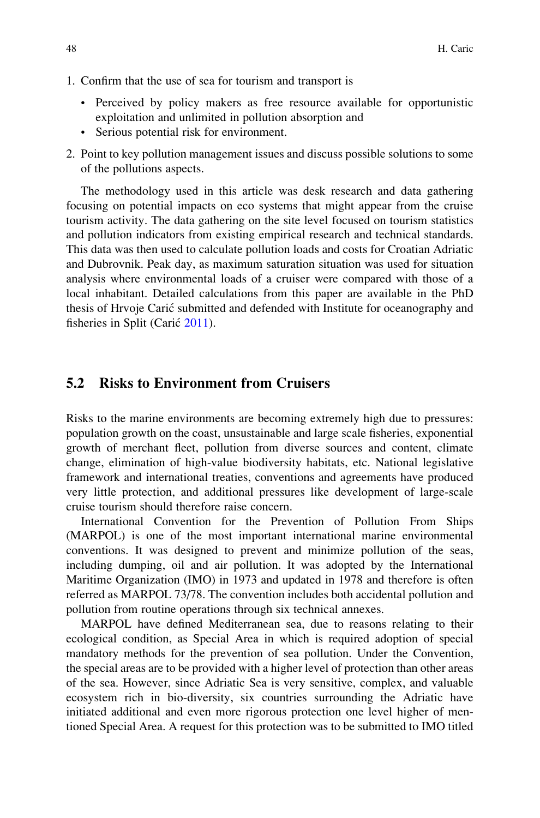- 1. Confirm that the use of sea for tourism and transport is
	- Perceived by policy makers as free resource available for opportunistic exploitation and unlimited in pollution absorption and
	- Serious potential risk for environment.
- 2. Point to key pollution management issues and discuss possible solutions to some of the pollutions aspects.

The methodology used in this article was desk research and data gathering focusing on potential impacts on eco systems that might appear from the cruise tourism activity. The data gathering on the site level focused on tourism statistics and pollution indicators from existing empirical research and technical standards. This data was then used to calculate pollution loads and costs for Croatian Adriatic and Dubrovnik. Peak day, as maximum saturation situation was used for situation analysis where environmental loads of a cruiser were compared with those of a local inhabitant. Detailed calculations from this paper are available in the PhD thesis of Hrvoje Caric´ submitted and defended with Institute for oceanography and fisheries in Split (Carić [2011](#page-18-0)).

# 5.2 Risks to Environment from Cruisers

Risks to the marine environments are becoming extremely high due to pressures: population growth on the coast, unsustainable and large scale fisheries, exponential growth of merchant fleet, pollution from diverse sources and content, climate change, elimination of high-value biodiversity habitats, etc. National legislative framework and international treaties, conventions and agreements have produced very little protection, and additional pressures like development of large-scale cruise tourism should therefore raise concern.

International Convention for the Prevention of Pollution From Ships (MARPOL) is one of the most important international marine environmental conventions. It was designed to prevent and minimize pollution of the seas, including dumping, oil and air pollution. It was adopted by the International Maritime Organization (IMO) in 1973 and updated in 1978 and therefore is often referred as MARPOL 73/78. The convention includes both accidental pollution and pollution from routine operations through six technical annexes.

MARPOL have defined Mediterranean sea, due to reasons relating to their ecological condition, as Special Area in which is required adoption of special mandatory methods for the prevention of sea pollution. Under the Convention, the special areas are to be provided with a higher level of protection than other areas of the sea. However, since Adriatic Sea is very sensitive, complex, and valuable ecosystem rich in bio-diversity, six countries surrounding the Adriatic have initiated additional and even more rigorous protection one level higher of mentioned Special Area. A request for this protection was to be submitted to IMO titled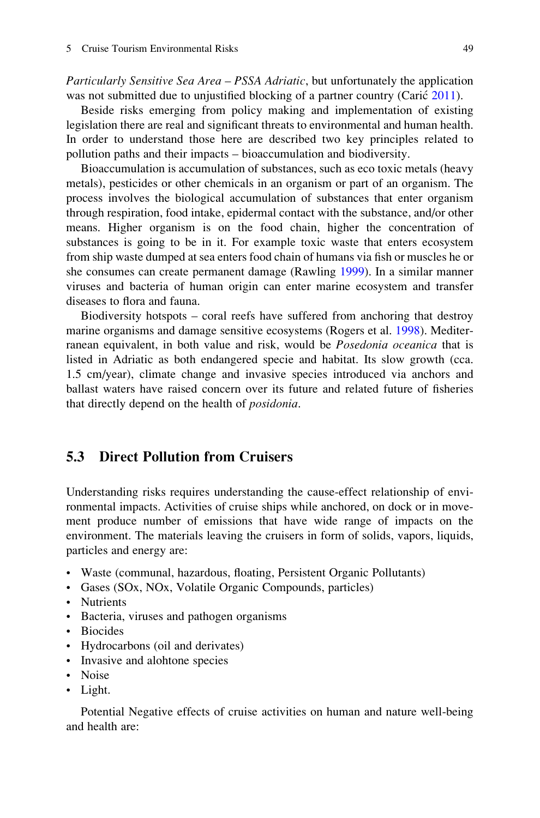Particularly Sensitive Sea Area – PSSA Adriatic, but unfortunately the application was not submitted due to unjustified blocking of a partner country (Carić [2011](#page-18-0)).

Beside risks emerging from policy making and implementation of existing legislation there are real and significant threats to environmental and human health. In order to understand those here are described two key principles related to pollution paths and their impacts – bioaccumulation and biodiversity.

Bioaccumulation is accumulation of substances, such as eco toxic metals (heavy metals), pesticides or other chemicals in an organism or part of an organism. The process involves the biological accumulation of substances that enter organism through respiration, food intake, epidermal contact with the substance, and/or other means. Higher organism is on the food chain, higher the concentration of substances is going to be in it. For example toxic waste that enters ecosystem from ship waste dumped at sea enters food chain of humans via fish or muscles he or she consumes can create permanent damage (Rawling [1999\)](#page-19-0). In a similar manner viruses and bacteria of human origin can enter marine ecosystem and transfer diseases to flora and fauna.

Biodiversity hotspots – coral reefs have suffered from anchoring that destroy marine organisms and damage sensitive ecosystems (Rogers et al. [1998\)](#page-20-0). Mediterranean equivalent, in both value and risk, would be Posedonia oceanica that is listed in Adriatic as both endangered specie and habitat. Its slow growth (cca. 1.5 cm/year), climate change and invasive species introduced via anchors and ballast waters have raised concern over its future and related future of fisheries that directly depend on the health of posidonia.

### 5.3 Direct Pollution from Cruisers

Understanding risks requires understanding the cause-effect relationship of environmental impacts. Activities of cruise ships while anchored, on dock or in movement produce number of emissions that have wide range of impacts on the environment. The materials leaving the cruisers in form of solids, vapors, liquids, particles and energy are:

- Waste (communal, hazardous, floating, Persistent Organic Pollutants)
- Gases (SOx, NOx, Volatile Organic Compounds, particles)
- Nutrients
- Bacteria, viruses and pathogen organisms
- Biocides
- Hydrocarbons (oil and derivates)
- Invasive and alohtone species
- Noise
- Light.

Potential Negative effects of cruise activities on human and nature well-being and health are: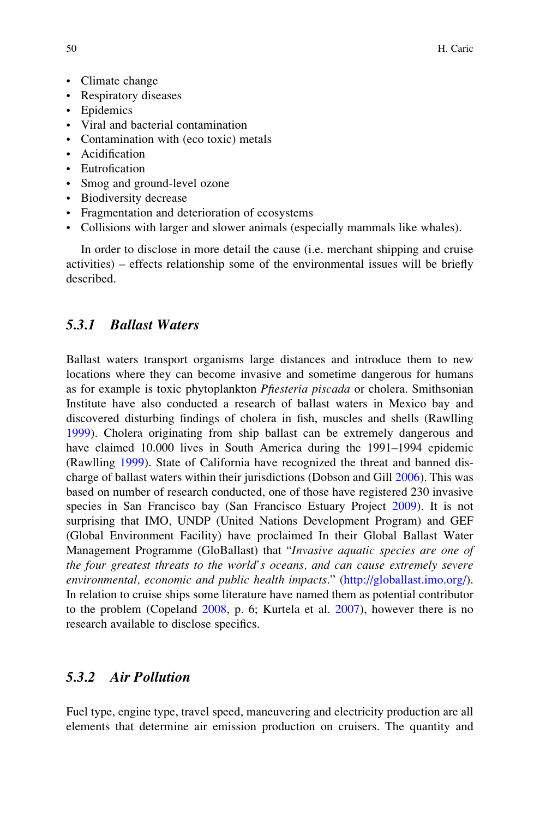- Climate change
- Respiratory diseases
- Epidemics
- Viral and bacterial contamination
- Contamination with (eco toxic) metals
- Acidification
- Eutrofication
- Smog and ground-level ozone
- Biodiversity decrease
- Fragmentation and deterioration of ecosystems
- Collisions with larger and slower animals (especially mammals like whales).

In order to disclose in more detail the cause (i.e. merchant shipping and cruise activities) – effects relationship some of the environmental issues will be briefly described.

# 5.3.1 Ballast Waters

Ballast waters transport organisms large distances and introduce them to new locations where they can become invasive and sometime dangerous for humans as for example is toxic phytoplankton *Pfiesteria piscada* or cholera. Smithsonian Institute have also conducted a research of ballast waters in Mexico bay and discovered disturbing findings of cholera in fish, muscles and shells (Rawlling [1999\)](#page-19-0). Cholera originating from ship ballast can be extremely dangerous and have claimed 10.000 lives in South America during the 1991–1994 epidemic (Rawlling [1999\)](#page-19-0). State of California have recognized the threat and banned discharge of ballast waters within their jurisdictions (Dobson and Gill [2006\)](#page-19-0). This was based on number of research conducted, one of those have registered 230 invasive species in San Francisco bay (San Francisco Estuary Project [2009](#page-20-0)). It is not surprising that IMO, UNDP (United Nations Development Program) and GEF (Global Environment Facility) have proclaimed In their Global Ballast Water Management Programme (GloBallast) that "Invasive aquatic species are one of the four greatest threats to the world's oceans, and can cause extremely severe environmental, economic and public health impacts." ([http://globallast.imo.org/\)](http://globallast.imo.org/). In relation to cruise ships some literature have named them as potential contributor to the problem (Copeland [2008,](#page-19-0) p. 6; Kurtela et al. [2007\)](#page-19-0), however there is no research available to disclose specifics.

# 5.3.2 Air Pollution

Fuel type, engine type, travel speed, maneuvering and electricity production are all elements that determine air emission production on cruisers. The quantity and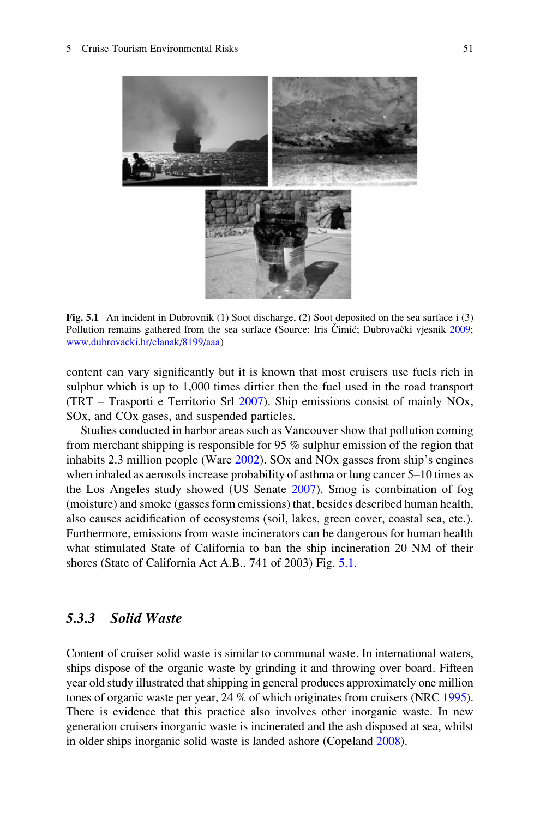

Fig. 5.1 An incident in Dubrovnik (1) Soot discharge, (2) Soot deposited on the sea surface i (3) Pollution remains gathered from the sea surface (Source: Iris Cimić; Dubrovački vjesnik [2009](#page-19-0); [www.dubrovacki.hr/clanak/8199/aaa](http://www.dubrovacki.hr/clanak/8199/aaa))

content can vary significantly but it is known that most cruisers use fuels rich in sulphur which is up to 1,000 times dirtier then the fuel used in the road transport (TRT – Trasporti e Territorio Srl [2007\)](#page-20-0). Ship emissions consist of mainly NOx, SOx, and COx gases, and suspended particles.

Studies conducted in harbor areas such as Vancouver show that pollution coming from merchant shipping is responsible for 95 % sulphur emission of the region that inhabits 2.3 million people (Ware [2002](#page-20-0)). SOx and NOx gasses from ship's engines when inhaled as aerosols increase probability of asthma or lung cancer 5–10 times as the Los Angeles study showed (US Senate [2007](#page-20-0)). Smog is combination of fog (moisture) and smoke (gasses form emissions) that, besides described human health, also causes acidification of ecosystems (soil, lakes, green cover, coastal sea, etc.). Furthermore, emissions from waste incinerators can be dangerous for human health what stimulated State of California to ban the ship incineration 20 NM of their shores (State of California Act A.B.. 741 of 2003) Fig. 5.1.

# 5.3.3 Solid Waste

Content of cruiser solid waste is similar to communal waste. In international waters, ships dispose of the organic waste by grinding it and throwing over board. Fifteen year old study illustrated that shipping in general produces approximately one million tones of organic waste per year, 24 % of which originates from cruisers (NRC [1995\)](#page-19-0). There is evidence that this practice also involves other inorganic waste. In new generation cruisers inorganic waste is incinerated and the ash disposed at sea, whilst in older ships inorganic solid waste is landed ashore (Copeland [2008](#page-19-0)).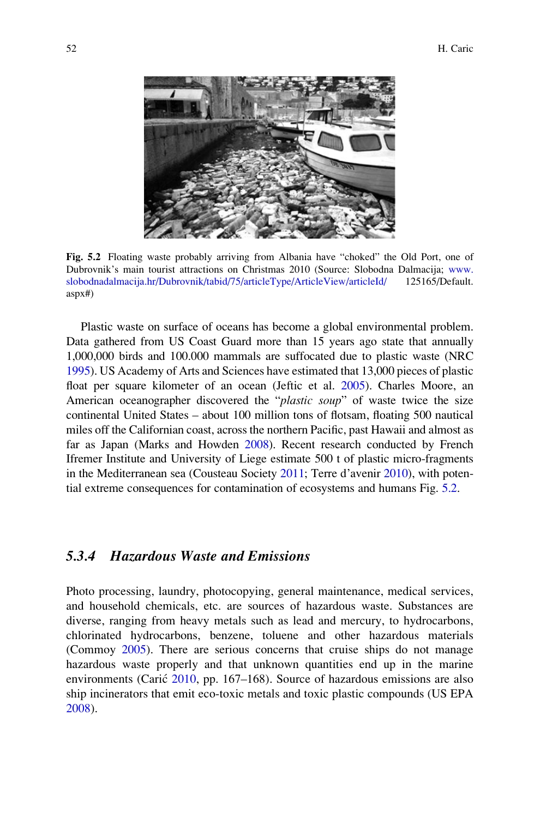

Fig. 5.2 Floating waste probably arriving from Albania have "choked" the Old Port, one of Dubrovnik's main tourist attractions on Christmas 2010 (Source: Slobodna Dalmacija; [www.](http://www.slobodnadalmacija.hr/Dubrovnik/tabid/75/articleType/ArticleView/articleId/) [slobodnadalmacija.hr/Dubrovnik/tabid/75/articleType/ArticleView/articleId/](http://www.slobodnadalmacija.hr/Dubrovnik/tabid/75/articleType/ArticleView/articleId/) 125165/Default. aspx#)

Plastic waste on surface of oceans has become a global environmental problem. Data gathered from US Coast Guard more than 15 years ago state that annually 1,000,000 birds and 100.000 mammals are suffocated due to plastic waste (NRC [1995](#page-19-0)). US Academy of Arts and Sciences have estimated that 13,000 pieces of plastic float per square kilometer of an ocean (Jeftic et al. [2005](#page-19-0)). Charles Moore, an American oceanographer discovered the "*plastic soup*" of waste twice the size continental United States – about 100 million tons of flotsam, floating 500 nautical miles off the Californian coast, across the northern Pacific, past Hawaii and almost as far as Japan (Marks and Howden [2008\)](#page-19-0). Recent research conducted by French Ifremer Institute and University of Liege estimate 500 t of plastic micro-fragments in the Mediterranean sea (Cousteau Society [2011;](#page-19-0) Terre d'avenir [2010](#page-20-0)), with potential extreme consequences for contamination of ecosystems and humans Fig. 5.2.

### 5.3.4 Hazardous Waste and Emissions

Photo processing, laundry, photocopying, general maintenance, medical services, and household chemicals, etc. are sources of hazardous waste. Substances are diverse, ranging from heavy metals such as lead and mercury, to hydrocarbons, chlorinated hydrocarbons, benzene, toluene and other hazardous materials (Commoy [2005](#page-19-0)). There are serious concerns that cruise ships do not manage hazardous waste properly and that unknown quantities end up in the marine environments (Carić [2010,](#page-18-0) pp. 167–168). Source of hazardous emissions are also ship incinerators that emit eco-toxic metals and toxic plastic compounds (US EPA [2008\)](#page-20-0).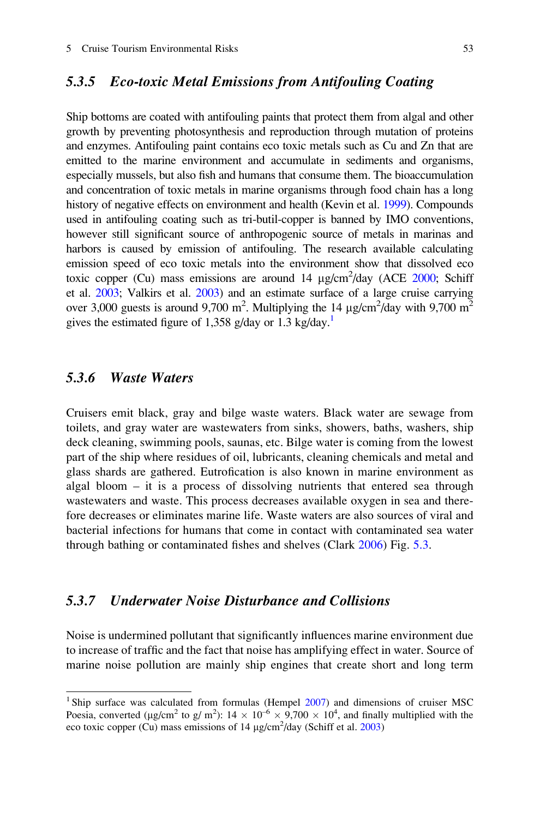# 5.3.5 Eco-toxic Metal Emissions from Antifouling Coating

Ship bottoms are coated with antifouling paints that protect them from algal and other growth by preventing photosynthesis and reproduction through mutation of proteins and enzymes. Antifouling paint contains eco toxic metals such as Cu and Zn that are emitted to the marine environment and accumulate in sediments and organisms, especially mussels, but also fish and humans that consume them. The bioaccumulation and concentration of toxic metals in marine organisms through food chain has a long history of negative effects on environment and health (Kevin et al. [1999\)](#page-19-0). Compounds used in antifouling coating such as tri-butil-copper is banned by IMO conventions, however still significant source of anthropogenic source of metals in marinas and harbors is caused by emission of antifouling. The research available calculating emission speed of eco toxic metals into the environment show that dissolved eco toxic copper (Cu) mass emissions are around 14  $\mu$ g/cm<sup>2</sup>/day (ACE [2000;](#page-18-0) Schiff et al. [2003;](#page-20-0) Valkirs et al. [2003\)](#page-20-0) and an estimate surface of a large cruise carrying over 3,000 guests is around 9,700 m<sup>2</sup>. Multiplying the 14  $\mu$ g/cm<sup>2</sup>/day with 9,700 m<sup>2</sup> gives the estimated figure of 1,358 g/day or 1.3 kg/day.<sup>1</sup>

# 5.3.6 Waste Waters

Cruisers emit black, gray and bilge waste waters. Black water are sewage from toilets, and gray water are wastewaters from sinks, showers, baths, washers, ship deck cleaning, swimming pools, saunas, etc. Bilge water is coming from the lowest part of the ship where residues of oil, lubricants, cleaning chemicals and metal and glass shards are gathered. Eutrofication is also known in marine environment as algal bloom – it is a process of dissolving nutrients that entered sea through wastewaters and waste. This process decreases available oxygen in sea and therefore decreases or eliminates marine life. Waste waters are also sources of viral and bacterial infections for humans that come in contact with contaminated sea water through bathing or contaminated fishes and shelves (Clark [2006\)](#page-18-0) Fig. [5.3](#page-7-0).

# 5.3.7 Underwater Noise Disturbance and Collisions

Noise is undermined pollutant that significantly influences marine environment due to increase of traffic and the fact that noise has amplifying effect in water. Source of marine noise pollution are mainly ship engines that create short and long term

 $1$  Ship surface was calculated from formulas (Hempel  $2007$ ) and dimensions of cruiser MSC Poesia, converted (µg/cm<sup>2</sup> to g/ m<sup>2</sup>):  $14 \times 10^{-6} \times 9{,}700 \times 10^{4}$ , and finally multiplied with the eco toxic copper (Cu) mass emissions of 14  $\mu$ g/cm<sup>2</sup>/day (Schiff et al. [2003](#page-20-0))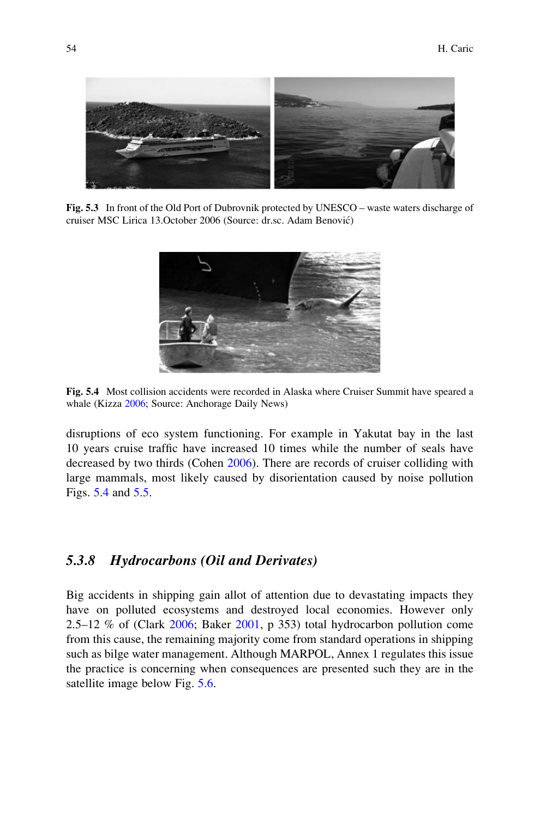<span id="page-7-0"></span>

Fig. 5.3 In front of the Old Port of Dubrovnik protected by UNESCO – waste waters discharge of cruiser MSC Lirica 13.October 2006 (Source: dr.sc. Adam Benović)



Fig. 5.4 Most collision accidents were recorded in Alaska where Cruiser Summit have speared a whale (Kizza [2006](#page-19-0); Source: Anchorage Daily News)

disruptions of eco system functioning. For example in Yakutat bay in the last 10 years cruise traffic have increased 10 times while the number of seals have decreased by two thirds (Cohen [2006](#page-18-0)). There are records of cruiser colliding with large mammals, most likely caused by disorientation caused by noise pollution Figs. 5.4 and [5.5](#page-8-0).

# 5.3.8 Hydrocarbons (Oil and Derivates)

Big accidents in shipping gain allot of attention due to devastating impacts they have on polluted ecosystems and destroyed local economies. However only 2.5–12 % of (Clark [2006;](#page-18-0) Baker [2001,](#page-18-0) p 353) total hydrocarbon pollution come from this cause, the remaining majority come from standard operations in shipping such as bilge water management. Although MARPOL, Annex 1 regulates this issue the practice is concerning when consequences are presented such they are in the satellite image below Fig. [5.6.](#page-8-0)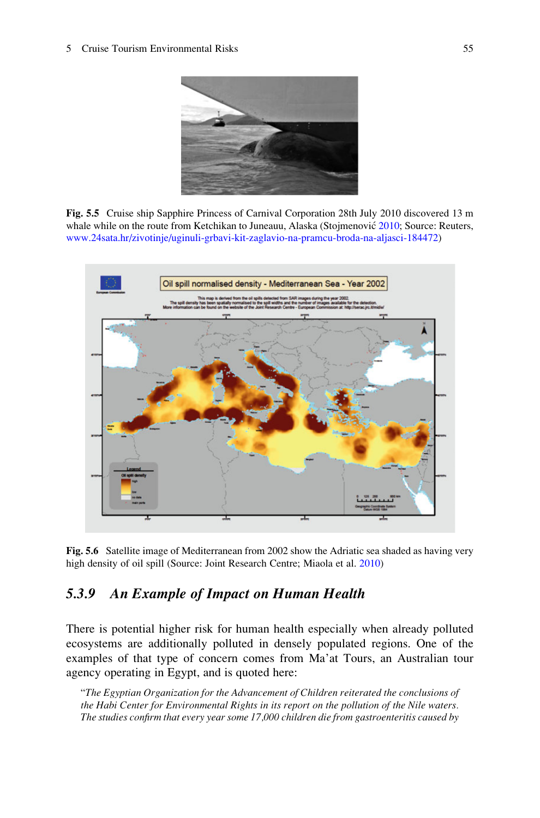<span id="page-8-0"></span>

Fig. 5.5 Cruise ship Sapphire Princess of Carnival Corporation 28th July 2010 discovered 13 m whale while on the route from Ketchikan to Juneauu, Alaska (Stojmenović [2010](#page-20-0); Source: Reuters, [www.24sata.hr/zivotinje/uginuli-grbavi-kit-zaglavio-na-pramcu-broda-na-aljasci-184472\)](http://www.24sata.hr/zivotinje/uginuli-grbavi-kit-zaglavio-na-pramcu-broda-na-aljasci-184472)



Fig. 5.6 Satellite image of Mediterranean from 2002 show the Adriatic sea shaded as having very high density of oil spill (Source: Joint Research Centre; Miaola et al. [2010\)](#page-19-0)

# 5.3.9 An Example of Impact on Human Health

There is potential higher risk for human health especially when already polluted ecosystems are additionally polluted in densely populated regions. One of the examples of that type of concern comes from Ma'at Tours, an Australian tour agency operating in Egypt, and is quoted here:

"The Egyptian Organization for the Advancement of Children reiterated the conclusions of the Habi Center for Environmental Rights in its report on the pollution of the Nile waters. The studies confirm that every year some 17,000 children die from gastroenteritis caused by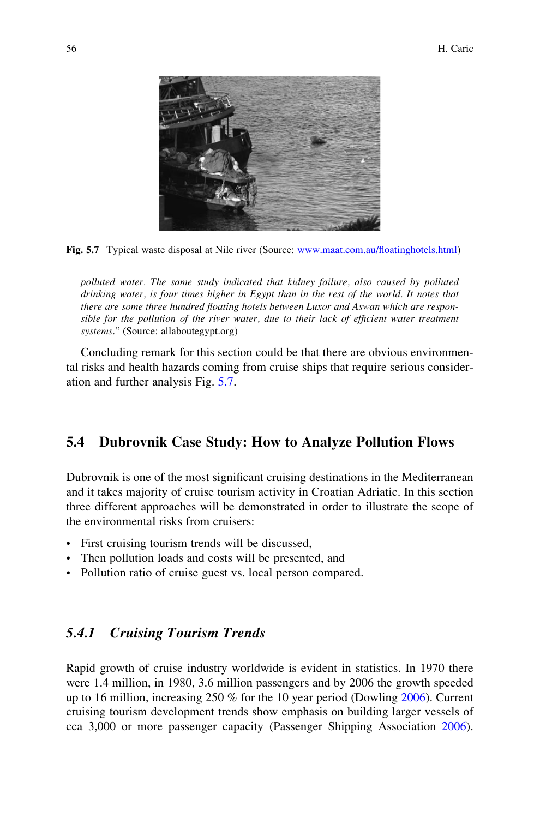

Fig. 5.7 Typical waste disposal at Nile river (Source: [www.maat.com.au/floatinghotels.html](http://www.maat.com.au/floatinghotels.html))

polluted water. The same study indicated that kidney failure, also caused by polluted drinking water, is four times higher in Egypt than in the rest of the world. It notes that there are some three hundred floating hotels between Luxor and Aswan which are responsible for the pollution of the river water, due to their lack of efficient water treatment systems." (Source: allaboutegypt.org)

Concluding remark for this section could be that there are obvious environmental risks and health hazards coming from cruise ships that require serious consideration and further analysis Fig. 5.7.

# 5.4 Dubrovnik Case Study: How to Analyze Pollution Flows

Dubrovnik is one of the most significant cruising destinations in the Mediterranean and it takes majority of cruise tourism activity in Croatian Adriatic. In this section three different approaches will be demonstrated in order to illustrate the scope of the environmental risks from cruisers:

- First cruising tourism trends will be discussed,
- Then pollution loads and costs will be presented, and
- Pollution ratio of cruise guest vs. local person compared.

# 5.4.1 Cruising Tourism Trends

Rapid growth of cruise industry worldwide is evident in statistics. In 1970 there were 1.4 million, in 1980, 3.6 million passengers and by 2006 the growth speeded up to 16 million, increasing 250 % for the 10 year period (Dowling [2006\)](#page-19-0). Current cruising tourism development trends show emphasis on building larger vessels of cca 3,000 or more passenger capacity (Passenger Shipping Association [2006\)](#page-19-0).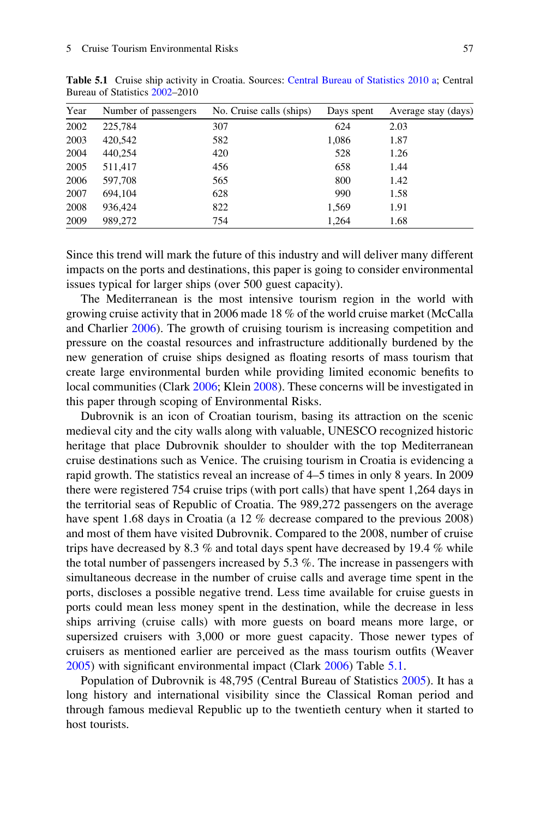| Year | Number of passengers | No. Cruise calls (ships) | Days spent | Average stay (days) |
|------|----------------------|--------------------------|------------|---------------------|
| 2002 | 225,784              | 307                      | 624        | 2.03                |
| 2003 | 420,542              | 582                      | 1,086      | 1.87                |
| 2004 | 440,254              | 420                      | 528        | 1.26                |
| 2005 | 511,417              | 456                      | 658        | 1.44                |
| 2006 | 597,708              | 565                      | 800        | 1.42                |
| 2007 | 694,104              | 628                      | 990        | 1.58                |
| 2008 | 936,424              | 822                      | 1,569      | 1.91                |
| 2009 | 989,272              | 754                      | 1,264      | 1.68                |

Table 5.1 Cruise ship activity in Croatia. Sources: [Central Bureau of Statistics 2010 a](#page-18-0); Central Bureau of Statistics [2002](#page-18-0)–2010

Since this trend will mark the future of this industry and will deliver many different impacts on the ports and destinations, this paper is going to consider environmental issues typical for larger ships (over 500 guest capacity).

The Mediterranean is the most intensive tourism region in the world with growing cruise activity that in 2006 made 18 % of the world cruise market (McCalla and Charlier [2006](#page-19-0)). The growth of cruising tourism is increasing competition and pressure on the coastal resources and infrastructure additionally burdened by the new generation of cruise ships designed as floating resorts of mass tourism that create large environmental burden while providing limited economic benefits to local communities (Clark [2006](#page-18-0); Klein [2008](#page-19-0)). These concerns will be investigated in this paper through scoping of Environmental Risks.

Dubrovnik is an icon of Croatian tourism, basing its attraction on the scenic medieval city and the city walls along with valuable, UNESCO recognized historic heritage that place Dubrovnik shoulder to shoulder with the top Mediterranean cruise destinations such as Venice. The cruising tourism in Croatia is evidencing a rapid growth. The statistics reveal an increase of 4–5 times in only 8 years. In 2009 there were registered 754 cruise trips (with port calls) that have spent 1,264 days in the territorial seas of Republic of Croatia. The 989,272 passengers on the average have spent 1.68 days in Croatia (a 12 % decrease compared to the previous 2008) and most of them have visited Dubrovnik. Compared to the 2008, number of cruise trips have decreased by 8.3 % and total days spent have decreased by 19.4 % while the total number of passengers increased by 5.3 %. The increase in passengers with simultaneous decrease in the number of cruise calls and average time spent in the ports, discloses a possible negative trend. Less time available for cruise guests in ports could mean less money spent in the destination, while the decrease in less ships arriving (cruise calls) with more guests on board means more large, or supersized cruisers with 3,000 or more guest capacity. Those newer types of cruisers as mentioned earlier are perceived as the mass tourism outfits (Weaver [2005\)](#page-20-0) with significant environmental impact (Clark [2006](#page-18-0)) Table 5.1.

Population of Dubrovnik is 48,795 (Central Bureau of Statistics [2005](#page-18-0)). It has a long history and international visibility since the Classical Roman period and through famous medieval Republic up to the twentieth century when it started to host tourists.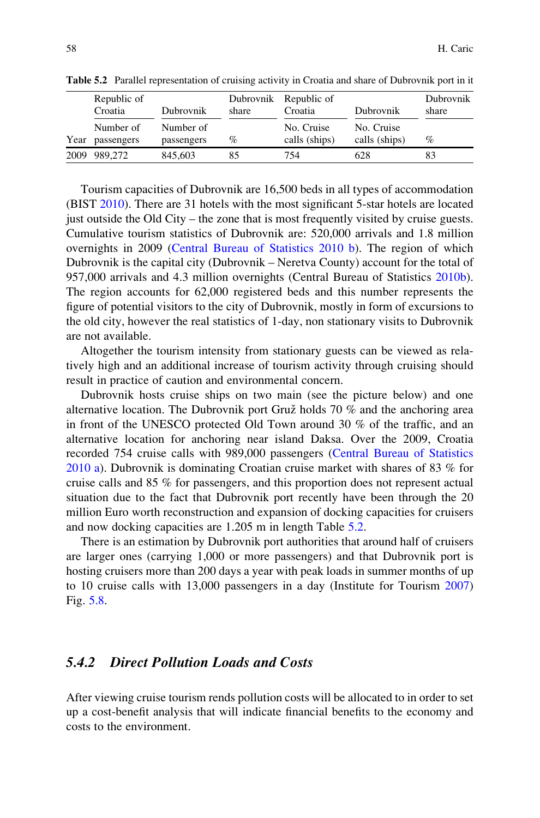|      | Republic of<br>Croatia  | Dubrovnik               | share | Dubrovnik Republic of<br>Croatia | Dubrovnik                   | Dubrovnik<br>share |
|------|-------------------------|-------------------------|-------|----------------------------------|-----------------------------|--------------------|
| Year | Number of<br>passengers | Number of<br>passengers | $\%$  | No. Cruise<br>calls (ships)      | No. Cruise<br>calls (ships) | %                  |
|      | 2009 989,272            | 845,603                 | 85    | 754                              | 628                         | 83                 |

Table 5.2 Parallel representation of cruising activity in Croatia and share of Dubrovnik port in it

Tourism capacities of Dubrovnik are 16,500 beds in all types of accommodation (BIST [2010](#page-18-0)). There are 31 hotels with the most significant 5-star hotels are located just outside the Old City – the zone that is most frequently visited by cruise guests. Cumulative tourism statistics of Dubrovnik are: 520,000 arrivals and 1.8 million overnights in 2009 ([Central Bureau of Statistics 2010 b\)](#page-18-0). The region of which Dubrovnik is the capital city (Dubrovnik – Neretva County) account for the total of 957,000 arrivals and 4.3 million overnights (Central Bureau of Statistics [2010b\)](#page-18-0). The region accounts for 62,000 registered beds and this number represents the figure of potential visitors to the city of Dubrovnik, mostly in form of excursions to the old city, however the real statistics of 1-day, non stationary visits to Dubrovnik are not available.

Altogether the tourism intensity from stationary guests can be viewed as relatively high and an additional increase of tourism activity through cruising should result in practice of caution and environmental concern.

Dubrovnik hosts cruise ships on two main (see the picture below) and one alternative location. The Dubrovnik port Gruž holds  $70\%$  and the anchoring area in front of the UNESCO protected Old Town around 30 % of the traffic, and an alternative location for anchoring near island Daksa. Over the 2009, Croatia recorded 754 cruise calls with 989,000 passengers ([Central Bureau of Statistics](#page-18-0) [2010 a](#page-18-0)). Dubrovnik is dominating Croatian cruise market with shares of 83 % for cruise calls and 85 % for passengers, and this proportion does not represent actual situation due to the fact that Dubrovnik port recently have been through the 20 million Euro worth reconstruction and expansion of docking capacities for cruisers and now docking capacities are 1.205 m in length Table 5.2.

There is an estimation by Dubrovnik port authorities that around half of cruisers are larger ones (carrying 1,000 or more passengers) and that Dubrovnik port is hosting cruisers more than 200 days a year with peak loads in summer months of up to 10 cruise calls with 13,000 passengers in a day (Institute for Tourism [2007](#page-19-0)) Fig. [5.8.](#page-12-0)

### 5.4.2 Direct Pollution Loads and Costs

After viewing cruise tourism rends pollution costs will be allocated to in order to set up a cost-benefit analysis that will indicate financial benefits to the economy and costs to the environment.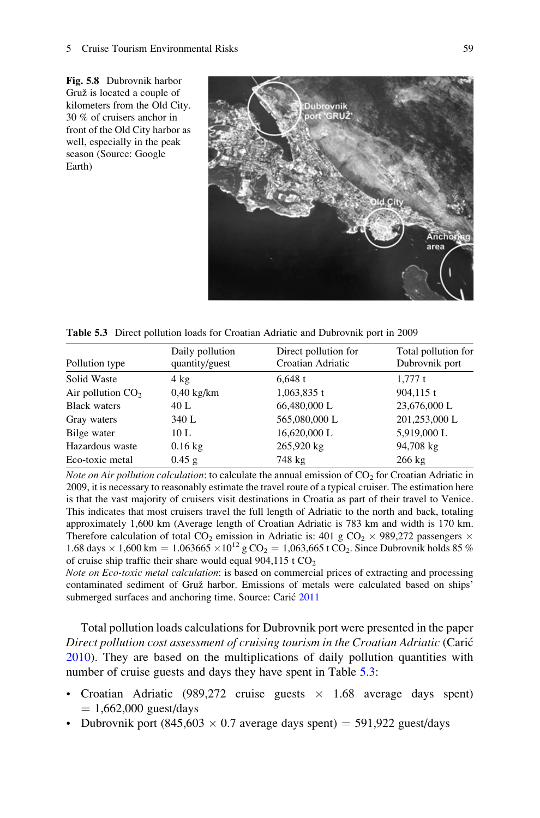Fig. 5.8 Dubrovnik harbor Gruž is located a couple of kilometers from the Old City. 30 % of cruisers anchor in front of the Old City harbor as well, especially in the peak season (Source: Google Earth)

<span id="page-12-0"></span>

Table 5.3 Direct pollution loads for Croatian Adriatic and Dubrovnik port in 2009

| Pollution type      | Daily pollution<br>quantity/guest | Direct pollution for<br>Croatian Adriatic | Total pollution for<br>Dubrovnik port |
|---------------------|-----------------------------------|-------------------------------------------|---------------------------------------|
| Solid Waste         | $4 \text{ kg}$                    | $6,648$ t                                 | $1,777$ t                             |
| Air pollution $CO2$ | $0.40 \text{ kg/km}$              | $1,063,835$ t                             | 904,115 t                             |
| <b>Black waters</b> | 40 L                              | 66,480,000 L                              | 23,676,000 L                          |
| Gray waters         | 340 L                             | 565,080,000L                              | 201,253,000 L                         |
| Bilge water         | 10L                               | 16,620,000 L                              | 5,919,000 L                           |
| Hazardous waste     | $0.16$ kg                         | 265,920 kg                                | 94,708 kg                             |
| Eco-toxic metal     | $0.45$ g                          | 748 kg                                    | $266 \text{ kg}$                      |

Note on Air pollution calculation: to calculate the annual emission of  $CO<sub>2</sub>$  for Croatian Adriatic in 2009, it is necessary to reasonably estimate the travel route of a typical cruiser. The estimation here is that the vast majority of cruisers visit destinations in Croatia as part of their travel to Venice. This indicates that most cruisers travel the full length of Adriatic to the north and back, totaling approximately 1,600 km (Average length of Croatian Adriatic is 783 km and width is 170 km. Therefore calculation of total CO<sub>2</sub> emission in Adriatic is: 401 g CO<sub>2</sub>  $\times$  989,272 passengers  $\times$ 1.68 days  $\times$  1,600 km = 1.063665  $\times$ 10<sup>12</sup> g CO<sub>2</sub> = 1,063,665 t CO<sub>2</sub>. Since Dubrovnik holds 85 % of cruise ship traffic their share would equal  $904,115$  t CO<sub>2</sub>

Note on Eco-toxic metal calculation: is based on commercial prices of extracting and processing contaminated sediment of Gruž harbor. Emissions of metals were calculated based on ships' submerged surfaces and anchoring time. Source: Carić [2011](#page-18-0)

Total pollution loads calculations for Dubrovnik port were presented in the paper Direct pollution cost assessment of cruising tourism in the Croatian Adriatic (Caric´ [2010\)](#page-18-0). They are based on the multiplications of daily pollution quantities with number of cruise guests and days they have spent in Table 5.3:

- Croatian Adriatic (989,272 cruise guests  $\times$  1.68 average days spent)  $= 1,662,000$  guest/days
- Dubrovnik port (845,603  $\times$  0.7 average days spent) = 591,922 guest/days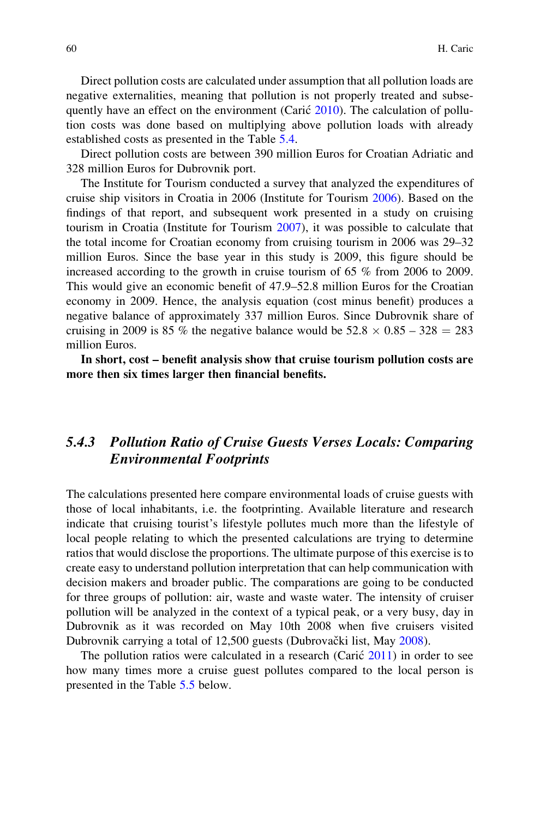Direct pollution costs are calculated under assumption that all pollution loads are negative externalities, meaning that pollution is not properly treated and subsequently have an effect on the environment (Caric<sup> $2010$ </sup>). The calculation of pollution costs was done based on multiplying above pollution loads with already established costs as presented in the Table [5.4.](#page-14-0)

Direct pollution costs are between 390 million Euros for Croatian Adriatic and 328 million Euros for Dubrovnik port.

The Institute for Tourism conducted a survey that analyzed the expenditures of cruise ship visitors in Croatia in 2006 (Institute for Tourism [2006](#page-19-0)). Based on the findings of that report, and subsequent work presented in a study on cruising tourism in Croatia (Institute for Tourism [2007](#page-19-0)), it was possible to calculate that the total income for Croatian economy from cruising tourism in 2006 was 29–32 million Euros. Since the base year in this study is 2009, this figure should be increased according to the growth in cruise tourism of 65 % from 2006 to 2009. This would give an economic benefit of 47.9–52.8 million Euros for the Croatian economy in 2009. Hence, the analysis equation (cost minus benefit) produces a negative balance of approximately 337 million Euros. Since Dubrovnik share of cruising in 2009 is 85 % the negative balance would be  $52.8 \times 0.85 - 328 = 283$ million Euros.

In short, cost – benefit analysis show that cruise tourism pollution costs are more then six times larger then financial benefits.

# 5.4.3 Pollution Ratio of Cruise Guests Verses Locals: Comparing Environmental Footprints

The calculations presented here compare environmental loads of cruise guests with those of local inhabitants, i.e. the footprinting. Available literature and research indicate that cruising tourist's lifestyle pollutes much more than the lifestyle of local people relating to which the presented calculations are trying to determine ratios that would disclose the proportions. The ultimate purpose of this exercise is to create easy to understand pollution interpretation that can help communication with decision makers and broader public. The comparations are going to be conducted for three groups of pollution: air, waste and waste water. The intensity of cruiser pollution will be analyzed in the context of a typical peak, or a very busy, day in Dubrovnik as it was recorded on May 10th 2008 when five cruisers visited Dubrovnik carrying a total of 12,500 guests (Dubrovački list, May [2008](#page-19-0)).

The pollution ratios were calculated in a research (Caric<sup> $2011$ </sup>) in order to see how many times more a cruise guest pollutes compared to the local person is presented in the Table [5.5](#page-15-0) below.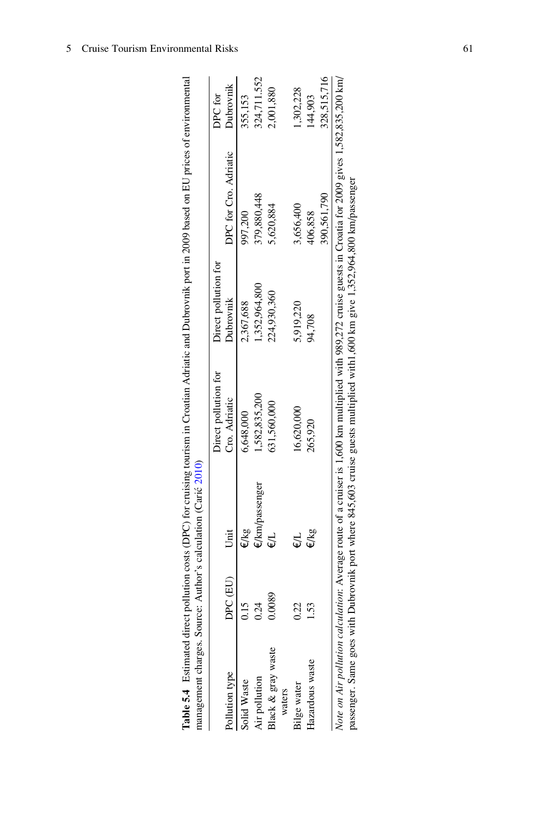|                              |          |                   | Direct pollution for                                                                                                         | Direct pollution for |                                                                                                                                                             | DPC for     |
|------------------------------|----------|-------------------|------------------------------------------------------------------------------------------------------------------------------|----------------------|-------------------------------------------------------------------------------------------------------------------------------------------------------------|-------------|
| Pollution type               | DPC (EU) | Unit              | Cro. Adriatic                                                                                                                | <b>Jubrovnik</b>     | DPC for Cro. Adriatic                                                                                                                                       | Dubrovnik   |
| Solid Waste                  | 0.15     | €⁄kg              | 6,648,000                                                                                                                    | 2,367,688            | 997,200                                                                                                                                                     | 355,153     |
| Air pollution                | 0.24     | $E$ /km/passenger | 1,582,835,200                                                                                                                | 1,352,964,800        | 879,880,448                                                                                                                                                 | 324,711.552 |
| Black & gray waste<br>waters | 0.0089   |                   | 631,560,000                                                                                                                  | 224,930,360          | 5,620,884                                                                                                                                                   | 2,001,880   |
| Bilge water                  | 0.22     |                   | 16,620,000                                                                                                                   | 5,919,220            | 3,656,400                                                                                                                                                   | ,302,228    |
| Hazardous waste              | 1.53     | €⁄kg              | 265,920                                                                                                                      | 94,708               | 406,858                                                                                                                                                     | .44,903     |
|                              |          |                   |                                                                                                                              |                      | 390,561,790                                                                                                                                                 | 328,515,716 |
|                              |          |                   | passenger. Same goes with Dubrovnik port where 845,603 cruise guests multiplied with1,600 km give 1,352,964,800 km/passenger |                      | Note on Air pollution calculation: Average route of a cruiser is 1,600 km multiplied with 989,272 cruise guests in Croatia for 2009 gives 1,582,835,200 km/ |             |

<span id="page-14-0"></span>

| $-20$ $-11$ $-20$<br>STRING REAL<br>.<br>.<br>.<br>anim manarating and manarating<br>l<br><b>VICES CONTINUES INTO CONTINUES CONTINUES.</b><br>$\ddot{\zeta}$<br>$\ddot{\phantom{0}}$<br>ĺ<br>$5 + 5$<br>$\ddot{\phantom{0}}$<br>֖֖֖֖֖֖֖֧ׅ֖֧֪֪֪֪֪֦֖֧֧֚֚֚֚֚֚֚֚֚֚֚֚֚֚֚֚֚֚֚֚֚֚֬֝֝֝֓֬֝֬֝֓֬֝֓֬֝֬֓֞֬֝֬֝֬֓֞֬֝֬֝֬֝֬֝֬֝֬֝֬֝֬֝֬֝֞֬֝֬֝֬ | is the contract of the contract of the contract of the contract of the contract of the contract of the contract of the contract of the contract of the contract of the contract of the contract of the contract of the contrac<br>.<br>S<br>ミンゴ<br>∆ י≏חזוו<br>;<br>l<br>j<br>i<br>l |
|-----------------------------------------------------------------------------------------------------------------------------------------------------------------------------------------------------------------------------------------------------------------------------------------------------------------------------|--------------------------------------------------------------------------------------------------------------------------------------------------------------------------------------------------------------------------------------------------------------------------------------|
| $\Box$                                                                                                                                                                                                                                                                                                                      | ֚֚֬<br>i                                                                                                                                                                                                                                                                             |
|                                                                                                                                                                                                                                                                                                                             | i<br>i<br>֚֚֬<br>Ì                                                                                                                                                                                                                                                                   |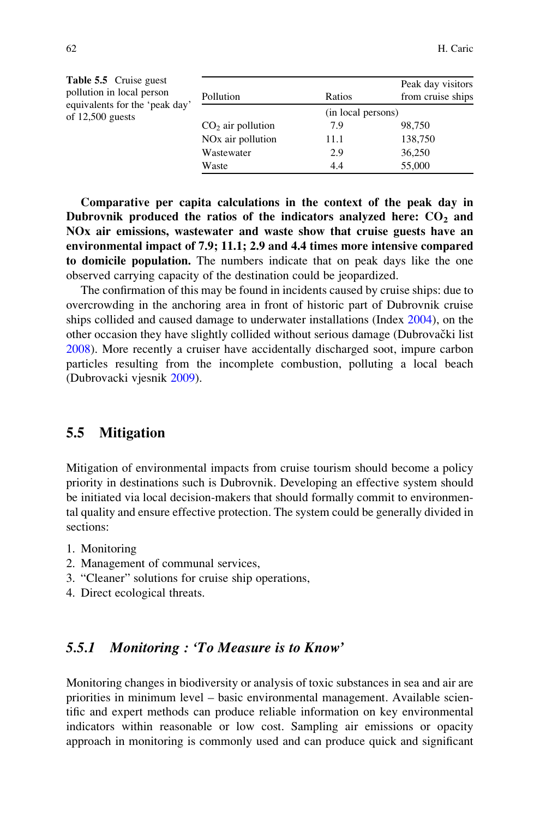<span id="page-15-0"></span>

| <b>Table 5.5</b> Cruise guest<br>pollution in local person | Pollution                     | Ratios | Peak day visitors<br>from cruise ships |  |  |
|------------------------------------------------------------|-------------------------------|--------|----------------------------------------|--|--|
| equivalents for the 'peak day'<br>of $12,500$ guests       | (in local persons)            |        |                                        |  |  |
|                                                            | $CO2$ air pollution           | 7.9    | 98,750                                 |  |  |
|                                                            | NO <sub>x</sub> air pollution | 11.1   | 138,750                                |  |  |
|                                                            | Wastewater                    | 2.9    | 36,250                                 |  |  |
|                                                            | Waste                         | 4.4    | 55,000                                 |  |  |

Comparative per capita calculations in the context of the peak day in Dubrovnik produced the ratios of the indicators analyzed here:  $CO<sub>2</sub>$  and NOx air emissions, wastewater and waste show that cruise guests have an environmental impact of 7.9; 11.1; 2.9 and 4.4 times more intensive compared to domicile population. The numbers indicate that on peak days like the one observed carrying capacity of the destination could be jeopardized.

The confirmation of this may be found in incidents caused by cruise ships: due to overcrowding in the anchoring area in front of historic part of Dubrovnik cruise ships collided and caused damage to underwater installations (Index [2004\)](#page-19-0), on the other occasion they have slightly collided without serious damage (Dubrovački list [2008\)](#page-19-0). More recently a cruiser have accidentally discharged soot, impure carbon particles resulting from the incomplete combustion, polluting a local beach (Dubrovacki vjesnik [2009\)](#page-19-0).

# 5.5 Mitigation

Mitigation of environmental impacts from cruise tourism should become a policy priority in destinations such is Dubrovnik. Developing an effective system should be initiated via local decision-makers that should formally commit to environmental quality and ensure effective protection. The system could be generally divided in sections:

- 1. Monitoring
- 2. Management of communal services,
- 3. "Cleaner" solutions for cruise ship operations,
- 4. Direct ecological threats.

# 5.5.1 Monitoring : 'To Measure is to Know'

Monitoring changes in biodiversity or analysis of toxic substances in sea and air are priorities in minimum level – basic environmental management. Available scientific and expert methods can produce reliable information on key environmental indicators within reasonable or low cost. Sampling air emissions or opacity approach in monitoring is commonly used and can produce quick and significant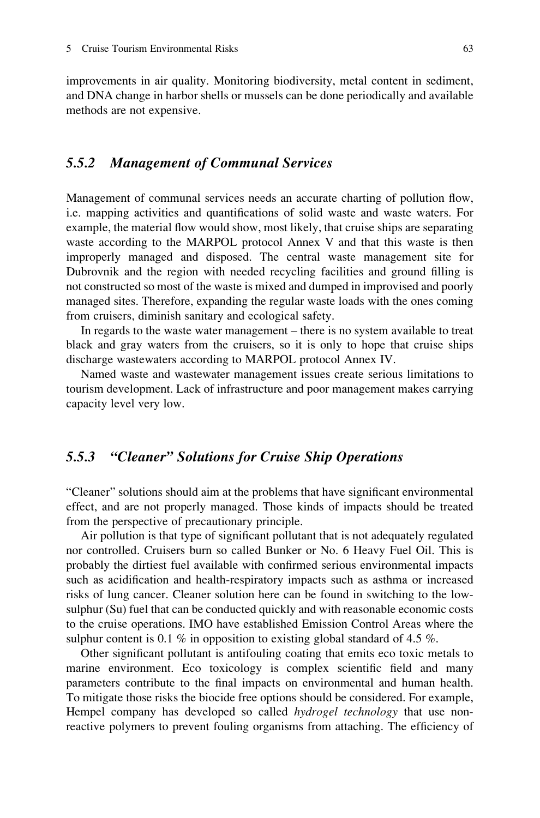improvements in air quality. Monitoring biodiversity, metal content in sediment, and DNA change in harbor shells or mussels can be done periodically and available methods are not expensive.

# 5.5.2 Management of Communal Services

Management of communal services needs an accurate charting of pollution flow, i.e. mapping activities and quantifications of solid waste and waste waters. For example, the material flow would show, most likely, that cruise ships are separating waste according to the MARPOL protocol Annex V and that this waste is then improperly managed and disposed. The central waste management site for Dubrovnik and the region with needed recycling facilities and ground filling is not constructed so most of the waste is mixed and dumped in improvised and poorly managed sites. Therefore, expanding the regular waste loads with the ones coming from cruisers, diminish sanitary and ecological safety.

In regards to the waste water management – there is no system available to treat black and gray waters from the cruisers, so it is only to hope that cruise ships discharge wastewaters according to MARPOL protocol Annex IV.

Named waste and wastewater management issues create serious limitations to tourism development. Lack of infrastructure and poor management makes carrying capacity level very low.

### 5.5.3 "Cleaner" Solutions for Cruise Ship Operations

"Cleaner" solutions should aim at the problems that have significant environmental effect, and are not properly managed. Those kinds of impacts should be treated from the perspective of precautionary principle.

Air pollution is that type of significant pollutant that is not adequately regulated nor controlled. Cruisers burn so called Bunker or No. 6 Heavy Fuel Oil. This is probably the dirtiest fuel available with confirmed serious environmental impacts such as acidification and health-respiratory impacts such as asthma or increased risks of lung cancer. Cleaner solution here can be found in switching to the lowsulphur (Su) fuel that can be conducted quickly and with reasonable economic costs to the cruise operations. IMO have established Emission Control Areas where the sulphur content is 0.1 % in opposition to existing global standard of 4.5 %.

Other significant pollutant is antifouling coating that emits eco toxic metals to marine environment. Eco toxicology is complex scientific field and many parameters contribute to the final impacts on environmental and human health. To mitigate those risks the biocide free options should be considered. For example, Hempel company has developed so called *hydrogel technology* that use nonreactive polymers to prevent fouling organisms from attaching. The efficiency of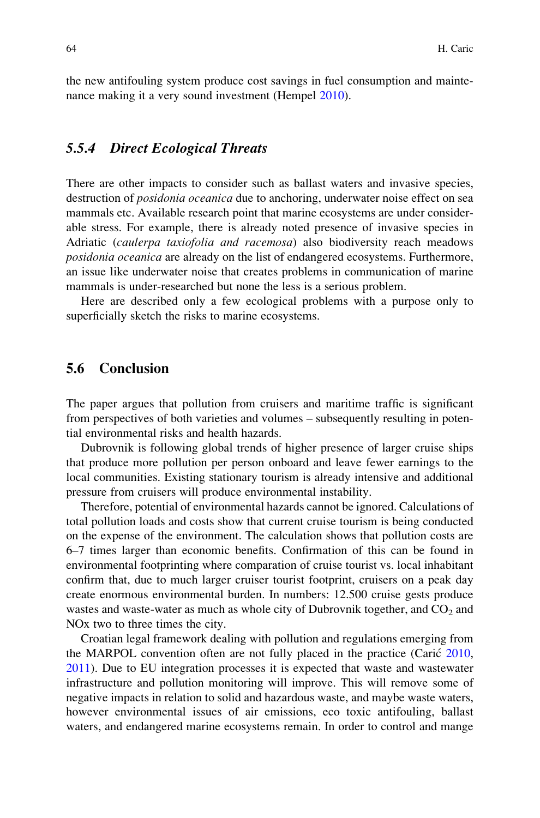the new antifouling system produce cost savings in fuel consumption and maintenance making it a very sound investment (Hempel [2010](#page-19-0)).

### 5.5.4 Direct Ecological Threats

There are other impacts to consider such as ballast waters and invasive species, destruction of *posidonia oceanica* due to anchoring, underwater noise effect on sea mammals etc. Available research point that marine ecosystems are under considerable stress. For example, there is already noted presence of invasive species in Adriatic (caulerpa taxiofolia and racemosa) also biodiversity reach meadows posidonia oceanica are already on the list of endangered ecosystems. Furthermore, an issue like underwater noise that creates problems in communication of marine mammals is under-researched but none the less is a serious problem.

Here are described only a few ecological problems with a purpose only to superficially sketch the risks to marine ecosystems.

### 5.6 Conclusion

The paper argues that pollution from cruisers and maritime traffic is significant from perspectives of both varieties and volumes – subsequently resulting in potential environmental risks and health hazards.

Dubrovnik is following global trends of higher presence of larger cruise ships that produce more pollution per person onboard and leave fewer earnings to the local communities. Existing stationary tourism is already intensive and additional pressure from cruisers will produce environmental instability.

Therefore, potential of environmental hazards cannot be ignored. Calculations of total pollution loads and costs show that current cruise tourism is being conducted on the expense of the environment. The calculation shows that pollution costs are 6–7 times larger than economic benefits. Confirmation of this can be found in environmental footprinting where comparation of cruise tourist vs. local inhabitant confirm that, due to much larger cruiser tourist footprint, cruisers on a peak day create enormous environmental burden. In numbers: 12.500 cruise gests produce wastes and waste-water as much as whole city of Dubrovnik together, and  $CO<sub>2</sub>$  and NOx two to three times the city.

Croatian legal framework dealing with pollution and regulations emerging from the MARPOL convention often are not fully placed in the practice (Caric´ [2010](#page-18-0), [2011\)](#page-18-0). Due to EU integration processes it is expected that waste and wastewater infrastructure and pollution monitoring will improve. This will remove some of negative impacts in relation to solid and hazardous waste, and maybe waste waters, however environmental issues of air emissions, eco toxic antifouling, ballast waters, and endangered marine ecosystems remain. In order to control and mange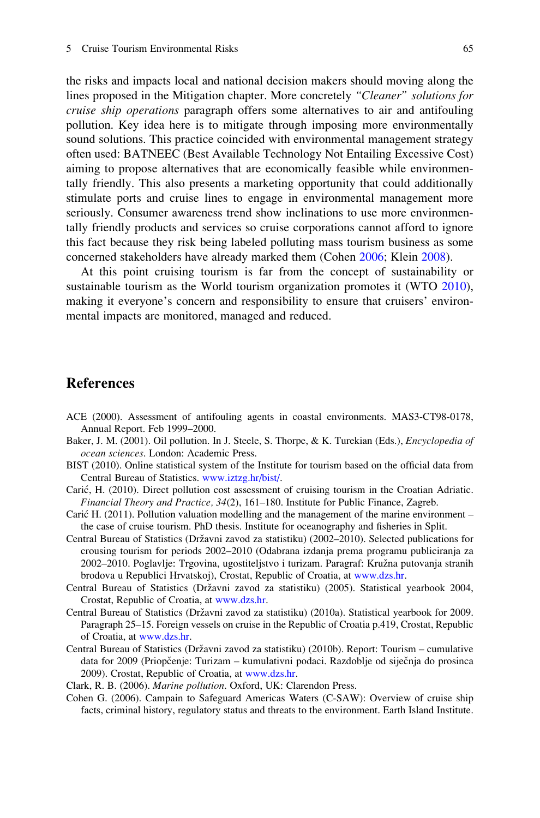<span id="page-18-0"></span>the risks and impacts local and national decision makers should moving along the lines proposed in the Mitigation chapter. More concretely "Cleaner" solutions for cruise ship operations paragraph offers some alternatives to air and antifouling pollution. Key idea here is to mitigate through imposing more environmentally sound solutions. This practice coincided with environmental management strategy often used: BATNEEC (Best Available Technology Not Entailing Excessive Cost) aiming to propose alternatives that are economically feasible while environmentally friendly. This also presents a marketing opportunity that could additionally stimulate ports and cruise lines to engage in environmental management more seriously. Consumer awareness trend show inclinations to use more environmentally friendly products and services so cruise corporations cannot afford to ignore this fact because they risk being labeled polluting mass tourism business as some concerned stakeholders have already marked them (Cohen 2006; Klein [2008](#page-19-0)).

At this point cruising tourism is far from the concept of sustainability or sustainable tourism as the World tourism organization promotes it (WTO [2010\)](#page-20-0), making it everyone's concern and responsibility to ensure that cruisers' environmental impacts are monitored, managed and reduced.

### References

- ACE (2000). Assessment of antifouling agents in coastal environments. MAS3-CT98-0178, Annual Report. Feb 1999–2000.
- Baker, J. M. (2001). Oil pollution. In J. Steele, S. Thorpe, & K. Turekian (Eds.), Encyclopedia of ocean sciences. London: Academic Press.
- BIST (2010). Online statistical system of the Institute for tourism based on the official data from Central Bureau of Statistics. [www.iztzg.hr/bist/.](http://www.iztzg.hr/bist/)
- Caric´, H. (2010). Direct pollution cost assessment of cruising tourism in the Croatian Adriatic. Financial Theory and Practice, 34(2), 161–180. Institute for Public Finance, Zagreb.
- Caric<sup> $H$ </sup>. (2011). Pollution valuation modelling and the management of the marine environment the case of cruise tourism. PhD thesis. Institute for oceanography and fisheries in Split.
- Central Bureau of Statistics (Državni zavod za statistiku) (2002–2010). Selected publications for crousing tourism for periods 2002–2010 (Odabrana izdanja prema programu publiciranja za 2002–2010. Poglavlje: Trgovina, ugostiteljstvo i turizam. Paragraf: Kružna putovanja stranih brodova u Republici Hrvatskoj), Crostat, Republic of Croatia, at [www.dzs.hr](http://www.dzs.hr).
- Central Bureau of Statistics (Državni zavod za statistiku) (2005). Statistical yearbook 2004, Crostat, Republic of Croatia, at [www.dzs.hr](http://www.dzs.hr).
- Central Bureau of Statistics (Državni zavod za statistiku) (2010a). Statistical yearbook for 2009. Paragraph 25–15. Foreign vessels on cruise in the Republic of Croatia p.419, Crostat, Republic of Croatia, at [www.dzs.hr](http://www.dzs.hr).
- Central Bureau of Statistics (Državni zavod za statistiku) (2010b). Report: Tourism cumulative data for 2009 (Priopčenje: Turizam – kumulativni podaci. Razdoblje od siječnja do prosinca 2009). Crostat, Republic of Croatia, at [www.dzs.hr.](http://www.dzs.hr)
- Clark, R. B. (2006). Marine pollution. Oxford, UK: Clarendon Press.
- Cohen G. (2006). Campain to Safeguard Americas Waters (C-SAW): Overview of cruise ship facts, criminal history, regulatory status and threats to the environment. Earth Island Institute.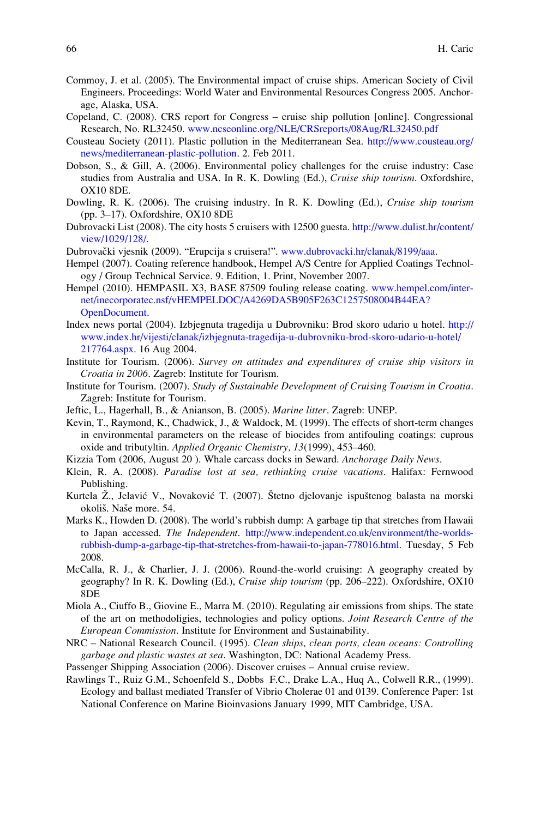- <span id="page-19-0"></span>Commoy, J. et al. (2005). The Environmental impact of cruise ships. American Society of Civil Engineers. Proceedings: World Water and Environmental Resources Congress 2005. Anchorage, Alaska, USA.
- Copeland, C. (2008). CRS report for Congress cruise ship pollution [online]. Congressional Research, No. RL32450. [www.ncseonline.org/NLE/CRSreports/08Aug/RL32450.pdf](http://www.ncseonline.org/NLE/CRSreports/08Aug/RL32450.pdf)
- Cousteau Society (2011). Plastic pollution in the Mediterranean Sea. [http://www.cousteau.org/](http://www.cousteau.org/news/mediterranean-plastic-pollution) [news/mediterranean-plastic-pollution.](http://www.cousteau.org/news/mediterranean-plastic-pollution) 2. Feb 2011.
- Dobson, S., & Gill, A. (2006). Environmental policy challenges for the cruise industry: Case studies from Australia and USA. In R. K. Dowling (Ed.), Cruise ship tourism. Oxfordshire, OX10 8DE.
- Dowling, R. K. (2006). The cruising industry. In R. K. Dowling (Ed.), Cruise ship tourism (pp. 3–17). Oxfordshire, OX10 8DE
- Dubrovacki List (2008). The city hosts 5 cruisers with 12500 guesta. [http://www.dulist.hr/content/](http://www.dulist.hr/content/view/1029/128/) [view/1029/128/](http://www.dulist.hr/content/view/1029/128/).
- Dubrovački vjesnik (2009). "Erupcija s cruisera!". [www.dubrovacki.hr/clanak/8199/aaa](http://www.dubrovacki.hr/clanak/8199/aaa).
- Hempel (2007). Coating reference handbook, Hempel A/S Centre for Applied Coatings Technology / Group Technical Service. 9. Edition, 1. Print, November 2007.
- Hempel (2010). HEMPASIL X3, BASE 87509 fouling release coating. [www.hempel.com/inter](http://www.hempel.com/internet/inecorporatec.nsf/vHEMPELDOC/A4269DA5B905F263C1257508004B44EA?OpenDocument)[net/inecorporatec.nsf/vHEMPELDOC/A4269DA5B905F263C1257508004B44EA?](http://www.hempel.com/internet/inecorporatec.nsf/vHEMPELDOC/A4269DA5B905F263C1257508004B44EA?OpenDocument) [OpenDocument.](http://www.hempel.com/internet/inecorporatec.nsf/vHEMPELDOC/A4269DA5B905F263C1257508004B44EA?OpenDocument)
- Index news portal (2004). Izbjegnuta tragedija u Dubrovniku: Brod skoro udario u hotel. [http://](http://www.index.hr/vijesti/clanak/izbjegnuta-tragedija-u-dubrovniku-brod-skoro-udario-u-hotel/217764.aspx) [www.index.hr/vijesti/clanak/izbjegnuta-tragedija-u-dubrovniku-brod-skoro-udario-u-hotel/](http://www.index.hr/vijesti/clanak/izbjegnuta-tragedija-u-dubrovniku-brod-skoro-udario-u-hotel/217764.aspx) [217764.aspx.](http://www.index.hr/vijesti/clanak/izbjegnuta-tragedija-u-dubrovniku-brod-skoro-udario-u-hotel/217764.aspx) 16 Aug 2004.
- Institute for Tourism. (2006). Survey on attitudes and expenditures of cruise ship visitors in Croatia in 2006. Zagreb: Institute for Tourism.
- Institute for Tourism. (2007). Study of Sustainable Development of Cruising Tourism in Croatia. Zagreb: Institute for Tourism.
- Jeftic, L., Hagerhall, B., & Anianson, B. (2005). Marine litter. Zagreb: UNEP.
- Kevin, T., Raymond, K., Chadwick, J., & Waldock, M. (1999). The effects of short-term changes in environmental parameters on the release of biocides from antifouling coatings: cuprous oxide and tributyltin. Applied Organic Chemistry, 13(1999), 453-460.
- Kizzia Tom (2006, August 20 ). Whale carcass docks in Seward. Anchorage Daily News.
- Klein, R. A. (2008). Paradise lost at sea, rethinking cruise vacations. Halifax: Fernwood Publishing.
- Kurtela Ž., Jelavić V., Novaković T. (2007). Štetno djelovanje ispuštenog balasta na morski okoliš. Naše more. 54.
- Marks K., Howden D. (2008). The world's rubbish dump: A garbage tip that stretches from Hawaii to Japan accessed. The Independent. [http://www.independent.co.uk/environment/the-worlds](http://www.independent.co.uk/environment/the-worlds-rubbish-dump-a-garbage-tip-that-stretches-from-hawaii-to-japan-778016.html)[rubbish-dump-a-garbage-tip-that-stretches-from-hawaii-to-japan-778016.html.](http://www.independent.co.uk/environment/the-worlds-rubbish-dump-a-garbage-tip-that-stretches-from-hawaii-to-japan-778016.html) Tuesday, 5 Feb 2008.
- McCalla, R. J., & Charlier, J. J. (2006). Round-the-world cruising: A geography created by geography? In R. K. Dowling (Ed.), Cruise ship tourism (pp. 206–222). Oxfordshire, OX10 8DE
- Miola A., Ciuffo B., Giovine E., Marra M. (2010). Regulating air emissions from ships. The state of the art on methodoligies, technologies and policy options. Joint Research Centre of the European Commission. Institute for Environment and Sustainability.
- NRC National Research Council. (1995). Clean ships, clean ports, clean oceans: Controlling garbage and plastic wastes at sea. Washington, DC: National Academy Press.
- Passenger Shipping Association (2006). Discover cruises Annual cruise review.
- Rawlings T., Ruiz G.M., Schoenfeld S., Dobbs F.C., Drake L.A., Huq A., Colwell R.R., (1999). Ecology and ballast mediated Transfer of Vibrio Cholerae 01 and 0139. Conference Paper: 1st National Conference on Marine Bioinvasions January 1999, MIT Cambridge, USA.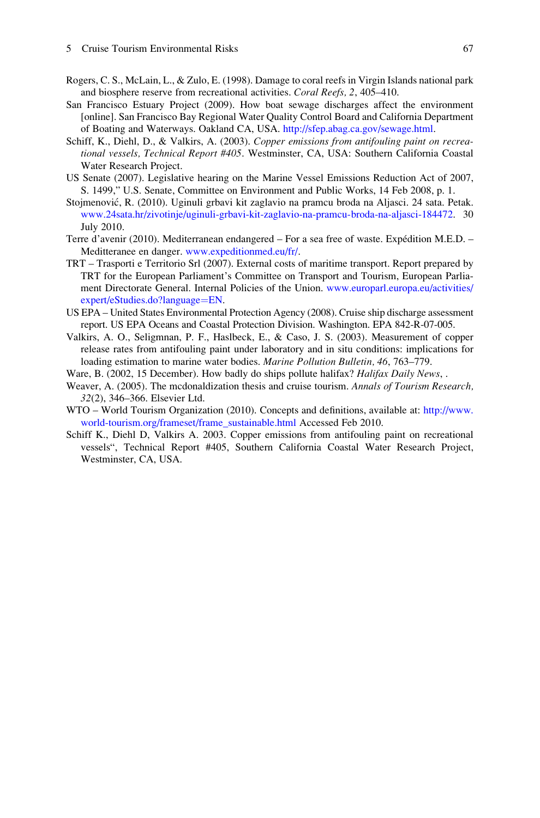- <span id="page-20-0"></span>Rogers, C. S., McLain, L., & Zulo, E. (1998). Damage to coral reefs in Virgin Islands national park and biosphere reserve from recreational activities. Coral Reefs, 2, 405–410.
- San Francisco Estuary Project (2009). How boat sewage discharges affect the environment [online]. San Francisco Bay Regional Water Quality Control Board and California Department of Boating and Waterways. Oakland CA, USA. [http://sfep.abag.ca.gov/sewage.html.](http://sfep.abag.ca.gov/sewage.html)
- Schiff, K., Diehl, D., & Valkirs, A. (2003). Copper emissions from antifouling paint on recreational vessels, Technical Report #405. Westminster, CA, USA: Southern California Coastal Water Research Project.
- US Senate (2007). Legislative hearing on the Marine Vessel Emissions Reduction Act of 2007, S. 1499," U.S. Senate, Committee on Environment and Public Works, 14 Feb 2008, p. 1.
- Stojmenović, R. (2010). Uginuli grbavi kit zaglavio na pramcu broda na Aljasci. 24 sata. Petak. [www.24sata.hr/zivotinje/uginuli-grbavi-kit-zaglavio-na-pramcu-broda-na-aljasci-184472.](http://www.24sata.hr/zivotinje/uginuli-grbavi-kit-zaglavio-na-pramcu-broda-na-aljasci-184472) 30 July 2010.
- Terre d'avenir (2010). Mediterranean endangered For a sea free of waste. Expédition M.E.D. Meditteranee en danger. [www.expeditionmed.eu/fr/.](http://www.expeditionmed.eu/fr/)
- TRT Trasporti e Territorio Srl (2007). External costs of maritime transport. Report prepared by TRT for the European Parliament's Committee on Transport and Tourism, European Parliament Directorate General. Internal Policies of the Union. [www.europarl.europa.eu/activities/](http://www.europarl.europa.eu/activities/expert/eStudies.do?language=EN)  $expert/eStudies.do?$ language= $EN$ .
- US EPA United States Environmental Protection Agency (2008). Cruise ship discharge assessment report. US EPA Oceans and Coastal Protection Division. Washington. EPA 842-R-07-005.
- Valkirs, A. O., Seligmnan, P. F., Haslbeck, E., & Caso, J. S. (2003). Measurement of copper release rates from antifouling paint under laboratory and in situ conditions: implications for loading estimation to marine water bodies. Marine Pollution Bulletin, 46, 763–779.
- Ware, B. (2002, 15 December). How badly do ships pollute halifax? Halifax Daily News,.
- Weaver, A. (2005). The mcdonaldization thesis and cruise tourism. Annals of Tourism Research, 32(2), 346–366. Elsevier Ltd.
- WTO World Tourism Organization (2010). Concepts and definitions, available at: [http://www.](http://www.world-tourism.org/frameset/frame_sustainable.html) [world-tourism.org/frameset/frame\\_sustainable.html](http://www.world-tourism.org/frameset/frame_sustainable.html) Accessed Feb 2010.
- Schiff K., Diehl D, Valkirs A. 2003. Copper emissions from antifouling paint on recreational vessels", Technical Report #405, Southern California Coastal Water Research Project, Westminster, CA, USA.